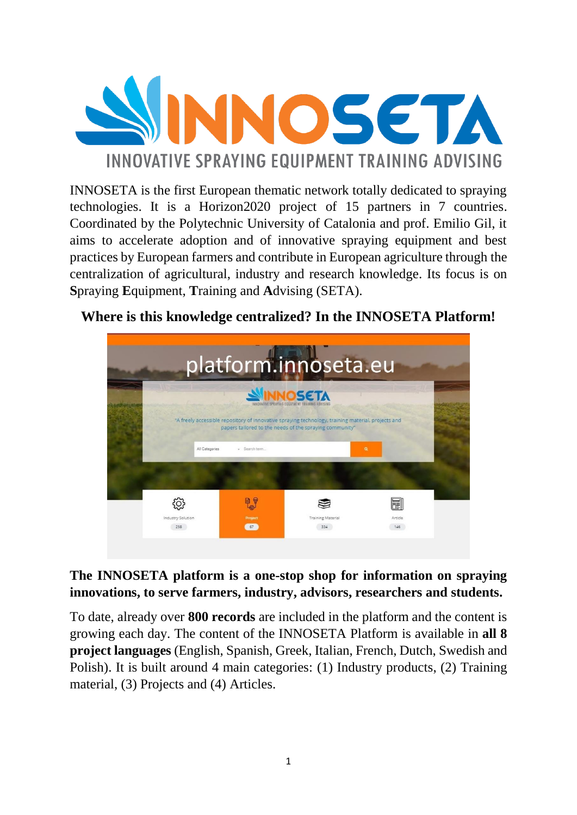

INNOSETA is the first European thematic network totally dedicated to spraying technologies. It is a Horizon2020 project of 15 partners in 7 countries. Coordinated by the Polytechnic University of Catalonia and prof. Emilio Gil, it aims to accelerate adoption and of innovative spraying equipment and best practices by European farmers and contribute in European agriculture through the centralization of agricultural, industry and research knowledge. Its focus is on **S**praying **E**quipment, **T**raining and **A**dvising (SETA).

#### platform.innoseta.eu SINNOSETA A freely accessible repository of innovative spraying technology, training material, projects and<br>papers tailored to the needs of the spraying community" දුරි} ł, H F Industry Solution **Training Material** Arrigia 258  $-67$ 334 146

# **Where is this knowledge centralized? In the INNOSETA Platform!**

## **The INNOSETA platform is a one-stop shop for information on spraying innovations, to serve farmers, industry, advisors, researchers and students.**

To date, already over **800 records** are included in the platform and the content is growing each day. The content of the INNOSETA Platform is available in **all 8 project languages** (English, Spanish, Greek, Italian, French, Dutch, Swedish and Polish). It is built around 4 main categories: (1) Industry products, (2) Training material, (3) Projects and (4) Articles.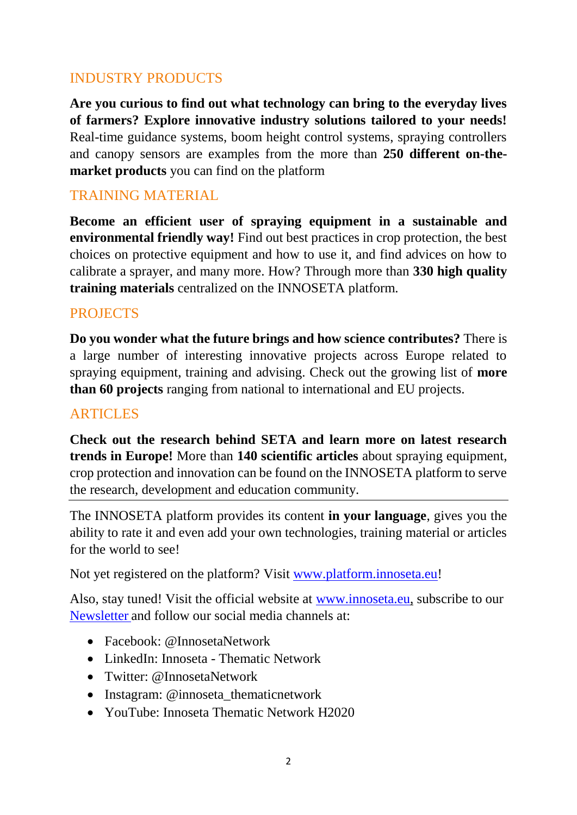### INDUSTRY PRODUCTS

**Are you curious to find out what technology can bring to the everyday lives of farmers? Explore innovative industry solutions tailored to your needs!** Real-time guidance systems, boom height control systems, spraying controllers and canopy sensors are examples from the more than **250 different on-themarket products** you can find on the platform

### TRAINING MATERIAL

**Become an efficient user of spraying equipment in a sustainable and environmental friendly way!** Find out best practices in crop protection, the best choices on protective equipment and how to use it, and find advices on how to calibrate a sprayer, and many more. How? Through more than **330 high quality training materials** centralized on the INNOSETA platform.

#### **PROJECTS**

**Do you wonder what the future brings and how science contributes?** There is a large number of interesting innovative projects across Europe related to spraying equipment, training and advising. Check out the growing list of **more than 60 projects** ranging from national to international and EU projects.

#### ARTICLES

**Check out the research behind SETA and learn more on latest research trends in Europe!** More than **140 scientific articles** about spraying equipment, crop protection and innovation can be found on the INNOSETA platform to serve the research, development and education community.

The INNOSETA platform provides its content **in your language**, gives you the ability to rate it and even add your own technologies, training material or articles for the world to see!

Not yet registered on the platform? Visit [www.platform.innoseta.eu!](http://www.platform.innoseta.eu/)

Also, stay tuned! Visit the official website at [www.innoseta.eu,](http://www.innoseta.eu/) subscribe to our [Newsletter](http://www.innoseta.eu/newsletter/) and follow our social media channels at:

- Facebook: @InnosetaNetwork
- LinkedIn: Innoseta Thematic Network
- Twitter: @InnosetaNetwork
- Instagram: @innoseta thematicnetwork
- YouTube: Innoseta Thematic Network H2020